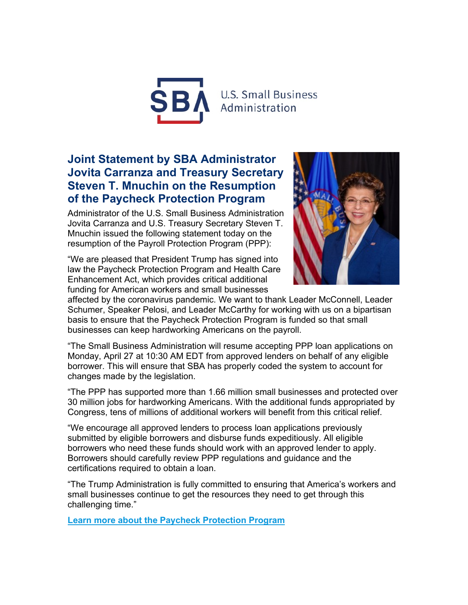

## **Joint Statement by SBA Administrator Jovita Carranza and Treasury Secretary Steven T. Mnuchin on the Resumption of the Paycheck Protection Program**

Administrator of the U.S. Small Business Administration Jovita Carranza and U.S. Treasury Secretary Steven T. Mnuchin issued the following statement today on the resumption of the Payroll Protection Program (PPP):

"We are pleased that President Trump has signed into law the Paycheck Protection Program and Health Care Enhancement Act, which provides critical additional funding for American workers and small businesses



affected by the coronavirus pandemic. We want to thank Leader McConnell, Leader Schumer, Speaker Pelosi, and Leader McCarthy for working with us on a bipartisan basis to ensure that the Paycheck Protection Program is funded so that small businesses can keep hardworking Americans on the payroll.

"The Small Business Administration will resume accepting PPP loan applications on Monday, April 27 at 10:30 AM EDT from approved lenders on behalf of any eligible borrower. This will ensure that SBA has properly coded the system to account for changes made by the legislation.

"The PPP has supported more than 1.66 million small businesses and protected over 30 million jobs for hardworking Americans. With the additional funds appropriated by Congress, tens of millions of additional workers will benefit from this critical relief.

"We encourage all approved lenders to process loan applications previously submitted by eligible borrowers and disburse funds expeditiously. All eligible borrowers who need these funds should work with an approved lender to apply. Borrowers should carefully review PPP regulations and guidance and the certifications required to obtain a loan.

"The Trump Administration is fully committed to ensuring that America's workers and small businesses continue to get the resources they need to get through this challenging time."

**Learn more about the [Paycheck Protection Program](https://lnks.gd/l/eyJhbGciOiJIUzI1NiJ9.eyJidWxsZXRpbl9saW5rX2lkIjoxMDEsInVyaSI6ImJwMjpjbGljayIsImJ1bGxldGluX2lkIjoiMjAyMDA0MjQuMjA2MzIzOTEiLCJ1cmwiOiJodHRwczovL3d3dy5zYmEuZ292L2Z1bmRpbmctcHJvZ3JhbXMvbG9hbnMvY29yb25hdmlydXMtcmVsaWVmLW9wdGlvbnMvcGF5Y2hlY2stcHJvdGVjdGlvbi1wcm9ncmFtP3V0bV9tZWRpdW09ZW1haWwmdXRtX3NvdXJjZT1nb3ZkZWxpdmVyeSJ9.RytTeXOZ3H7DxK1O8ordVD5TwkQyWyrVo1w7OJ4biBA/br/77829286204-l)**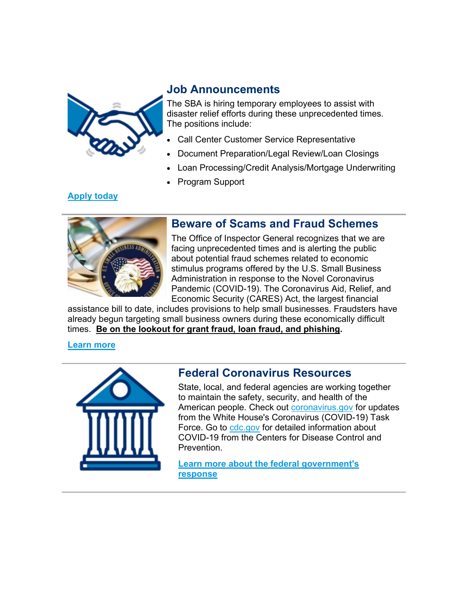

### **Job Announcements**

The SBA is hiring temporary employees to assist with disaster relief efforts during these unprecedented times. The positions include:

- Call Center Customer Service Representative
- Document Preparation/Legal Review/Loan Closings
- Loan Processing/Credit Analysis/Mortgage Underwriting
- Program Support

### **[Apply today](https://lnks.gd/l/eyJhbGciOiJIUzI1NiJ9.eyJidWxsZXRpbl9saW5rX2lkIjoxMDIsInVyaSI6ImJwMjpjbGljayIsImJ1bGxldGluX2lkIjoiMjAyMDA0MjQuMjA2MzIzOTEiLCJ1cmwiOiJodHRwczovL3d3dy5zYmEuZ292L3BhZ2UvZGlzYXN0ZXItcmVzcG9uc2Utam9icy1zYmE_dXRtX21lZGl1bT1lbWFpbCZ1dG1fc291cmNlPWdvdmRlbGl2ZXJ5In0.Y8dw_nq_5tat9qb3XiPlX4jKVdbvD07xehPhjbG8B-s/br/77829286204-l)**



### **Beware of Scams and Fraud Schemes**

The Office of Inspector General recognizes that we are facing unprecedented times and is alerting the public about potential fraud schemes related to economic stimulus programs offered by the U.S. Small Business Administration in response to the Novel Coronavirus Pandemic (COVID-19). The Coronavirus Aid, Relief, and Economic Security (CARES) Act, the largest financial

assistance bill to date, includes provisions to help small businesses. Fraudsters have already begun targeting small business owners during these economically difficult times. **Be on the lookout for grant fraud, loan fraud, and phishing.**

#### **[Learn more](https://lnks.gd/l/eyJhbGciOiJIUzI1NiJ9.eyJidWxsZXRpbl9saW5rX2lkIjoxMDMsInVyaSI6ImJwMjpjbGljayIsImJ1bGxldGluX2lkIjoiMjAyMDA0MjQuMjA2MzIzOTEiLCJ1cmwiOiJodHRwczovL3d3dy5zYmEuZ292L2RvY3VtZW50L3JlcG9ydC0tc2JhLXByb2dyYW1zLXNjYW1zLWZyYXVkLWFsZXJ0cz91dG1fbWVkaXVtPWVtYWlsJnV0bV9zb3VyY2U9Z292ZGVsaXZlcnkifQ.gNfJjk6Pl_65K0tuKYcCLxb24lx3U261rpGnHhLzMT0/br/77829286204-l)**



### **Federal Coronavirus Resources**

State, local, and federal agencies are working together to maintain the safety, security, and health of the American people. Check out [coronavirus.gov](https://lnks.gd/l/eyJhbGciOiJIUzI1NiJ9.eyJidWxsZXRpbl9saW5rX2lkIjoxMDQsInVyaSI6ImJwMjpjbGljayIsImJ1bGxldGluX2lkIjoiMjAyMDA0MjQuMjA2MzIzOTEiLCJ1cmwiOiJodHRwczovL3d3dy5jb3JvbmF2aXJ1cy5nb3YvP3V0bV9tZWRpdW09ZW1haWwmdXRtX3NvdXJjZT1nb3ZkZWxpdmVyeSJ9.0TqdxqyCeDsYhPrYTO2XJOSyWfCKfCrYY9n_Ck8iZko/br/77829286204-l) for updates from the White House's Coronavirus (COVID-19) Task Force. Go to [cdc.gov](https://lnks.gd/l/eyJhbGciOiJIUzI1NiJ9.eyJidWxsZXRpbl9saW5rX2lkIjoxMDUsInVyaSI6ImJwMjpjbGljayIsImJ1bGxldGluX2lkIjoiMjAyMDA0MjQuMjA2MzIzOTEiLCJ1cmwiOiJodHRwczovL3d3dy5jZGMuZ292Lz91dG1fbWVkaXVtPWVtYWlsJnV0bV9zb3VyY2U9Z292ZGVsaXZlcnkifQ.GxcZz8Am2YhAVxuCYCKP9sZz_XcCKaBYS5OoVl-6WLQ/br/77829286204-l) for detailed information about COVID-19 from the Centers for Disease Control and Prevention.

**[Learn more about the federal government's](https://lnks.gd/l/eyJhbGciOiJIUzI1NiJ9.eyJidWxsZXRpbl9saW5rX2lkIjoxMDYsInVyaSI6ImJwMjpjbGljayIsImJ1bGxldGluX2lkIjoiMjAyMDA0MjQuMjA2MzIzOTEiLCJ1cmwiOiJodHRwczovL3d3dy51c2EuZ292L2Nvcm9uYXZpcnVzP3V0bV9tZWRpdW09ZW1haWwmdXRtX3NvdXJjZT1nb3ZkZWxpdmVyeSJ9.Kv94q9lH01z8slZu-CVxO4SJRW61LnaQO1ZH64gN5jU/br/77829286204-l)  [response](https://lnks.gd/l/eyJhbGciOiJIUzI1NiJ9.eyJidWxsZXRpbl9saW5rX2lkIjoxMDYsInVyaSI6ImJwMjpjbGljayIsImJ1bGxldGluX2lkIjoiMjAyMDA0MjQuMjA2MzIzOTEiLCJ1cmwiOiJodHRwczovL3d3dy51c2EuZ292L2Nvcm9uYXZpcnVzP3V0bV9tZWRpdW09ZW1haWwmdXRtX3NvdXJjZT1nb3ZkZWxpdmVyeSJ9.Kv94q9lH01z8slZu-CVxO4SJRW61LnaQO1ZH64gN5jU/br/77829286204-l)**